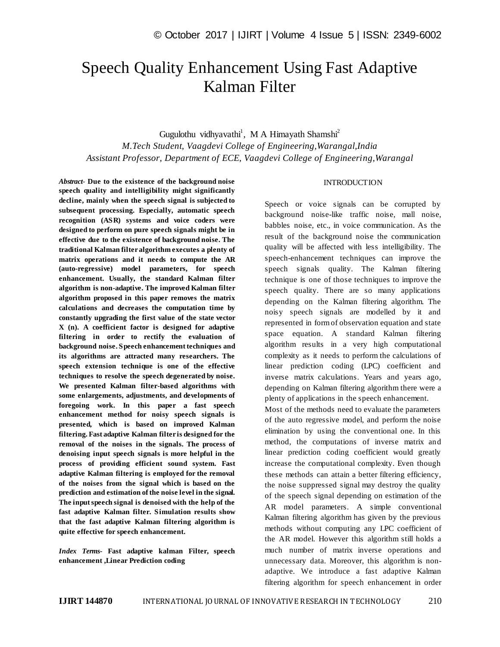# Speech Quality Enhancement Using Fast Adaptive Kalman Filter

Gugulothu vidhyavathi<sup>1</sup>, M A Himayath Shamshi<sup>2</sup> *M.Tech Student, Vaagdevi College of Engineering,Warangal,India Assistant Professor, Department of ECE, Vaagdevi College of Engineering,Warangal*

*Abstract*- **Due to the existence of the background noise speech quality and intelligibility might significantly decline, mainly when the speech signal is subjected to subsequent processing. Especially, automatic speech recognition (ASR) systems and voice coders were designed to perform on pure speech signals might be in effective due to the existence of background noise. The traditional Kalman filter algorithm executes a plenty of matrix operations and it needs to compute the AR (auto-regressive) model parameters, for speech enhancement. Usually, the standard Kalman filter algorithm is non-adaptive. The improved Kalman filter algorithm proposed in this paper removes the matrix calculations and decreases the computation time by constantly upgrading the first value of the state vector X (n). A coefficient factor is designed for adaptive filtering in order to rectify the evaluation of background noise. Speech enhancement techniques and its algorithms are attracted many researchers. The speech extension technique is one of the effective techniques to resolve the speech degenerated by noise. We presented Kalman filter-based algorithms with some enlargements, adjustments, and developments of foregoing work. In this paper a fast speech enhancement method for noisy speech signals is presented, which is based on improved Kalman filtering. Fast adaptive Kalman filter is designed for the removal of the noises in the signals. The process of denoising input speech signals is more helpful in the process of providing efficient sound system. Fast adaptive Kalman filtering is employed for the removal of the noises from the signal which is based on the prediction and estimation of the noise level in the signal. The input speech signal is denoised with the help of the fast adaptive Kalman filter. Simulation results show that the fast adaptive Kalman filtering algorithm is quite effective for speech enhancement.**

*Index Terms***- Fast adaptive kalman Filter, speech enhancement ,Linear Prediction coding**

### INTRODUCTION

Speech or voice signals can be corrupted by background noise-like traffic noise, mall noise, babbles noise, etc., in voice communication. As the result of the background noise the communication quality will be affected with less intelligibility. The speech-enhancement techniques can improve the speech signals quality. The Kalman filtering technique is one of those techniques to improve the speech quality. There are so many applications depending on the Kalman filtering algorithm. The noisy speech signals are modelled by it and represented in form of observation equation and state space equation. A standard Kalman filtering algorithm results in a very high computational complexity as it needs to perform the calculations of linear prediction coding (LPC) coefficient and inverse matrix calculations. Years and years ago, depending on Kalman filtering algorithm there were a plenty of applications in the speech enhancement.

Most of the methods need to evaluate the parameters of the auto regressive model, and perform the noise elimination by using the conventional one. In this method, the computations of inverse matrix and linear prediction coding coefficient would greatly increase the computational complexity. Even though these methods can attain a better filtering efficiency, the noise suppressed signal may destroy the quality of the speech signal depending on estimation of the AR model parameters. A simple conventional Kalman filtering algorithm has given by the previous methods without computing any LPC coefficient of the AR model. However this algorithm still holds a much number of matrix inverse operations and unnecessary data. Moreover, this algorithm is nonadaptive. We introduce a fast adaptive Kalman filtering algorithm for speech enhancement in order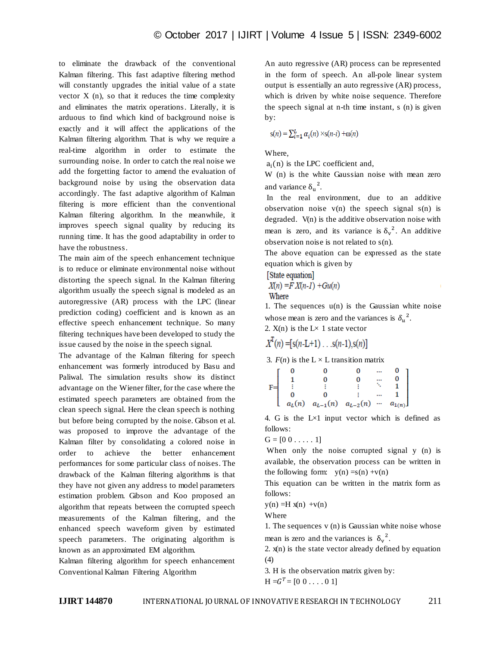to eliminate the drawback of the conventional Kalman filtering. This fast adaptive filtering method will constantly upgrades the initial value of a state vector  $X$  (n), so that it reduces the time complexity and eliminates the matrix operations. Literally, it is arduous to find which kind of background noise is exactly and it will affect the applications of the Kalman filtering algorithm. That is why we require a real-time algorithm in order to estimate the surrounding noise. In order to catch the real noise we add the forgetting factor to amend the evaluation of background noise by using the observation data accordingly. The fast adaptive algorithm of Kalman filtering is more efficient than the conventional Kalman filtering algorithm. In the meanwhile, it improves speech signal quality by reducing its running time. It has the good adaptability in order to have the robustness.

The main aim of the speech enhancement technique is to reduce or eliminate environmental noise without distorting the speech signal. In the Kalman filtering algorithm usually the speech signal is modeled as an autoregressive (AR) process with the LPC (linear prediction coding) coefficient and is known as an effective speech enhancement technique. So many filtering techniques have been developed to study the issue caused by the noise in the speech signal.

The advantage of the Kalman filtering for speech enhancement was formerly introduced by Basu and Paliwal. The simulation results show its distinct advantage on the Wiener filter, for the case where the estimated speech parameters are obtained from the clean speech signal. Here the clean speech is nothing but before being corrupted by the noise. Gibson et al. was proposed to improve the advantage of the Kalman filter by consolidating a colored noise in order to achieve the better enhancement performances for some particular class of noises. The drawback of the Kalman filtering algorithms is that they have not given any address to model parameters estimation problem. Gibson and Koo proposed an algorithm that repeats between the corrupted speech measurements of the Kalman filtering, and the enhanced speech waveform given by estimated speech parameters. The originating algorithm is known as an approximated EM algorithm.

Kalman filtering algorithm for speech enhancement Conventional Kalman Filtering Algorithm

An auto regressive (AR) process can be represented in the form of speech. An all-pole linear system output is essentially an auto regressive (AR) process, which is driven by white noise sequence. Therefore the speech signal at n-th time instant, s (n) is given by:

$$
s(n) = \sum_{i=1}^{L} \alpha_i(n) \times s(n-i) + \omega(n)
$$

Where,

 $a_i(n)$  is the LPC coefficient and,

W (n) is the white Gaussian noise with mean zero and variance  $\delta_{\rm u}^{2}$ .

In the real environment, due to an additive observation noise  $v(n)$  the speech signal  $s(n)$  is degraded. V(n) is the additive observation noise with mean is zero, and its variance is  $\delta_v^2$ . An additive observation noise is not related to s(n).

The above equation can be expressed as the state equation which is given by

[State equation]

$$
X(n) = FX(n-1) + Gu(n)
$$
  
Where

1. The sequences  $u(n)$  is the Gaussian white noise whose mean is zero and the variances is  $\delta_u^2$ .

2.  $X(n)$  is the L $\times$  1 state vector

$$
X^T(n) = [s(n-L+1)...s(n-1),s(n)]
$$

3.  $F(n)$  is the L  $\times$  L transition matrix

|  | $a_L(n)$ $a_{L-1}(n)$ $a_{L-2}(n)$ $a_{1(n)}$ |  |  |
|--|-----------------------------------------------|--|--|

4. G is the  $L\times1$  input vector which is defined as follows:

$$
G=[0\ 0\ \ldots\ \ldots\ 1]
$$

When only the noise corrupted signal y (n) is available, the observation process can be written in the following form:  $y(n) = s(n) + v(n)$ 

This equation can be written in the matrix form as follows:

 $y(n) = H x(n) +v(n)$ 

Where

1. The sequences v (n) is Gaussian white noise whose mean is zero and the variances is  $\delta_v^2$ .

2.  $x(n)$  is the state vector already defined by equation (4)

3. H is the observation matrix given by:

 $H = G^T = [0 \ 0 \dots \ 0 \ 1]$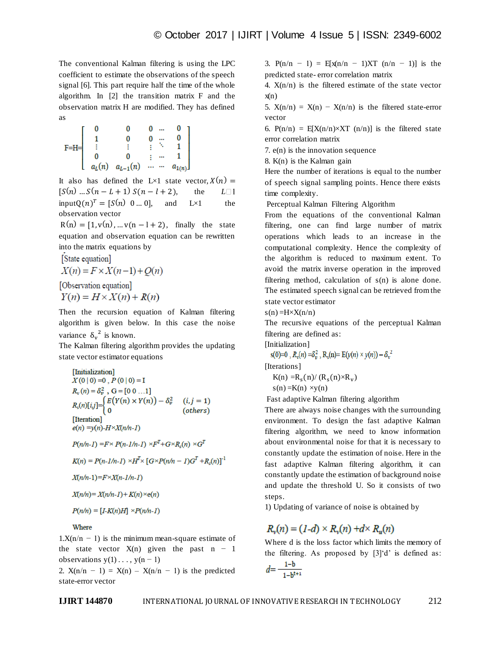The conventional Kalman filtering is using the LPC coefficient to estimate the observations of the speech signal [6]. This part require half the time of the whole algorithm. In [2] the transition matrix F and the observation matrix H are modified. They has defined as

$$
\text{F=H=}\left[\begin{array}{ccccc} 0 & 0 & 0 & \cdots & 0 \\ 1 & 0 & 0 & \cdots & 0 \\ \vdots & \vdots & \vdots & \ddots & 1 \\ 0 & 0 & \vdots & \cdots & 1 \\ a_L(n) & a_{L-1}(n) & \cdots & \cdots & a_{1(n)} \end{array}\right]
$$

It also has defined the L×1 state vector,  $X(n) =$  $[S(n) ... S(n-L+1) S(n-l+2)]$ , the *L*<sup>1</sup> input  $Q(n)^T = [S(n) \ 0 \dots 0]$ , and L×1 the observation vector

 $R(n) = [1, v(n), \dots v(n-l+2)]$ , finally the state equation and observation equation can be rewritten into the matrix equations by

[State equation]

$$
X(n) = F \times X(n-1) + Q(n)
$$

[Observation equation]  $Y(n) = H \times X(n) + R(n)$ 

Then the recursion equation of Kalman filtering algorithm is given below. In this case the noise variance  $\delta_{\rm v}{}^2$  is known.

The Kalman filtering algorithm provides the updating state vector estimator equations

[Initialization]  
\n
$$
X(0 | 0) = 0, P(0 | 0) = I
$$
  
\n $R_v(n) = \delta_v^2, G = [0 0 ... 1]$   
\n $R_s(n)[i,j] = \begin{cases} E(Y(n) \times Y(n)) - \delta_v^2 & (i, j = 1) \\ 0 & (others) \end{cases}$   
\n[Iteration]  
\n $e(n) = y(n) - H \times X(n/n - I)$ 

 $P(n/n-1) = F \times P(n-1/n-1) \times F^{T} + G \times R_{s}(n) \times G^{T}$ 

$$
K(n) = P(n-1/n-1) \times H^T \times [G \times P(n/n-1)G^T + R_s(n)]^T
$$

 $X(n/n-1)=F\times X(n-1/n-1)$ 

$$
X(n/n) = X(n/n-1) + K(n) \times e(n)
$$

$$
P(n/n) = [I-K(n)H] \times P(n/n-1)
$$

### Where

 $1.X(n/n - 1)$  is the minimum mean-square estimate of the state vector  $X(n)$  given the past  $n - 1$ observations  $y(1) \ldots$ ,  $y(n-1)$ 

2.  $X(n/n - 1) = X(n) - X(n/n - 1)$  is the predicted state-error vector

3.  $P(n/n - 1) = E[x(n/n - 1)XT(n/n - 1)]$  is the predicted state- error correlation matrix

4.  $X(n/n)$  is the filtered estimate of the state vector  $x(n)$ 

5.  $X(n/n) = X(n) - X(n/n)$  is the filtered state-error vector

6.  $P(n/n) = E[X(n/n) \times XT(n/n)]$  is the filtered state error correlation matrix

7. e(n) is the innovation sequence

8. K(n) is the Kalman gain

Here the number of iterations is equal to the number of speech signal sampling points. Hence there exists time complexity.

Perceptual Kalman Filtering Algorithm

From the equations of the conventional Kalman filtering, one can find large number of matrix operations which leads to an increase in the computational complexity. Hence the complexity of the algorithm is reduced to maximum extent. To avoid the matrix inverse operation in the improved filtering method, calculation of s(n) is alone done. The estimated speech signal can be retrieved from the state vector estimator

 $s(n) = H \times X(n/n)$ 

The recursive equations of the perceptual Kalman filtering are defined as:

[Initialization]

s(0)=0,  $R_v(n) = \delta_v^2$ ,  $R_s(n) = E(y(n) \times y(n)) - \delta_v^2$ [Iterations]

$$
K(n)=R_s(n)/\left(R_s(n){\times}R_v\right)
$$

$$
s(n) = K(n) \times y(n)
$$

Fast adaptive Kalman filtering algorithm

There are always noise changes with the surrounding environment. To design the fast adaptive Kalman filtering algorithm, we need to know information about environmental noise for that it is necessary to constantly update the estimation of noise. Here in the fast adaptive Kalman filtering algorithm, it can constantly update the estimation of background noise and update the threshold U. So it consists of two steps.

1) Updating of variance of noise is obtained by

## $R_v(n) = (1-d) \times R_v(n) + d \times R_u(n)$

Where d is the loss factor which limits the memory of the filtering. As proposed by [3]'d' is defined as:

$$
d=\frac{1-b}{1-b^{t+1}}
$$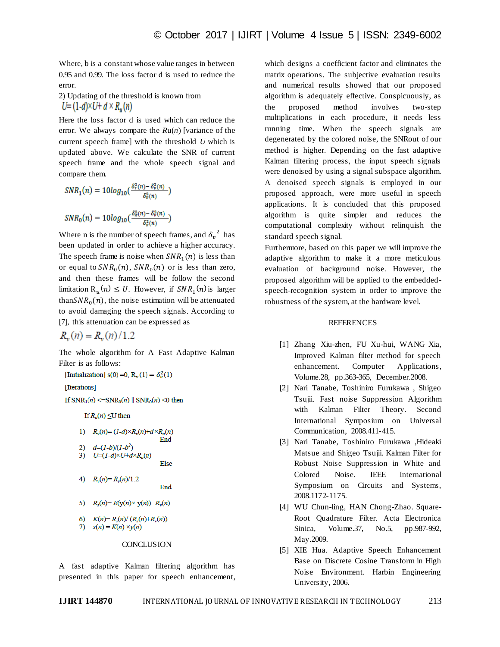Where, b is a constant whose value ranges in between 0.95 and 0.99. The loss factor d is used to reduce the error.

2) Updating of the threshold is known from  $U=(1-d)\times U+d\times R_u(n)$ 

Here the loss factor d is used which can reduce the error. We always compare the *R*u(*n*) [variance of the current speech frame] with the threshold *U* which is updated above. We calculate the SNR of current speech frame and the whole speech signal and compare them.

$$
SNR_1(n) = 10log_{10}\left(\frac{\delta_r^2(n) - \delta_v^2(n)}{\delta_v^2(n)}\right)
$$
  

$$
SNR_0(n) = 10log_{10}\left(\frac{\delta_x^2(n) - \delta_v^2(n)}{\delta_v^2(n)}\right)
$$

Where n is the number of speech frames, and  $\delta_v^2$  has been updated in order to achieve a higher accuracy. The speech frame is noise when  $SNR_1(n)$  is less than or equal to  $SNR_0(n)$ ,  $SNR_0(n)$  or is less than zero, and then these frames will be follow the second limitation  $R_u(n) \leq U$ . However, if  $SNR_1(n)$  is larger than  $SNR_0(n)$ , the noise estimation will be attenuated to avoid damaging the speech signals. According to [7], this attenuation can be expressed as

$$
R_{\rm v}(n) = R_{\rm v}(n)/1.2
$$

The whole algorithm for A Fast Adaptive Kalman Filter is as follows:

[Initialization]  $s(0) = 0$ ,  $R_v(1) = \delta_v^2(1)$ 

[Iterations]

If  $SNR_1(n) \leq SNR_0(n) \parallel SNR_0(n) \leq 0$  then

If  $R_u(n) \leq U$  then

- 1)  $R_v(n) = (1-d) \times R_v(n) + d \times R_u(n)$ End
- 2)  $d=(1-b)/(1-b^2)$
- 3)  $U=(1-d)\times U+d\times R_u(n)$ Else

4) 
$$
R_v(n) = R_v(n)/1.2
$$

End

- 5)  $R_s(n) = E(y(n) \times y(n)) R_v(n)$
- 6)  $K(n)=R_s(n)/(R_s(n)+R_v(n))$ 7)  $s(n) = K(n) \times y(n)$ .

### **CONCLUSION**

A fast adaptive Kalman filtering algorithm has presented in this paper for speech enhancement, which designs a coefficient factor and eliminates the matrix operations. The subjective evaluation results and numerical results showed that our proposed algorithm is adequately effective. Conspicuously, as the proposed method involves two-step multiplications in each procedure, it needs less running time. When the speech signals are degenerated by the colored noise, the SNRout of our method is higher. Depending on the fast adaptive Kalman filtering process, the input speech signals were denoised by using a signal subspace algorithm. A denoised speech signals is employed in our proposed approach, were more useful in speech applications. It is concluded that this proposed algorithm is quite simpler and reduces the computational complexity without relinquish the standard speech signal.

Furthermore, based on this paper we will improve the adaptive algorithm to make it a more meticulous evaluation of background noise. However, the proposed algorithm will be applied to the embeddedspeech-recognition system in order to improve the robustness of the system, at the hardware level.

### REFERENCES

- [1] Zhang Xiu-zhen, FU Xu-hui, WANG Xia, Improved Kalman filter method for speech enhancement. Computer Applications, Volume.28, pp.363-365, December.2008.
- [2] Nari Tanabe, Toshiniro Furukawa , Shigeo Tsujii. Fast noise Suppression Algorithm with Kalman Filter Theory. Second International Symposium on Universal Communication, 2008.411-415.
- [3] Nari Tanabe, Toshiniro Furukawa ,Hideaki Matsue and Shigeo Tsujii. Kalman Filter for Robust Noise Suppression in White and Colored Noise. IEEE International Symposium on Circuits and Systems, 2008.1172-1175.
- [4] WU Chun-ling, HAN Chong-Zhao. Square-Root Quadrature Filter. Acta Electronica Sinica, Volume.37, No.5, pp.987-992, May.2009.
- [5] XIE Hua. Adaptive Speech Enhancement Base on Discrete Cosine Transform in High Noise Environment. Harbin Engineering University, 2006.